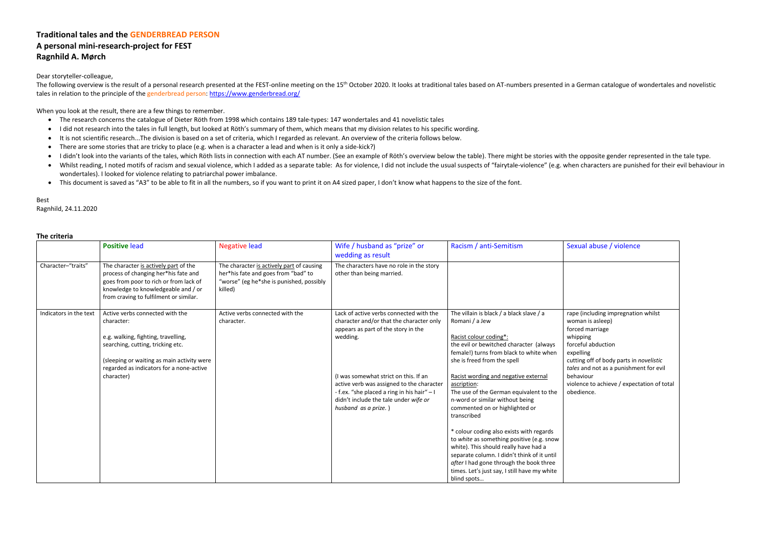# **Traditional tales and the GENDERBREAD PERSON A personal mini-research-project for FEST Ragnhild A. Mørch**

Dear storyteller-colleague,

The following overview is the result of a personal research presented at the FEST-online meeting on the 15<sup>th</sup> October 2020. It looks at traditional tales based on AT-numbers presented in a German catalogue of wondertales tales in relation to the principle of the genderbread person: https://www.genderbread.org/

When you look at the result, there are a few things to remember.

- The research concerns the catalogue of Dieter Röth from 1998 which contains 189 tale-types: 147 wondertales and 41 novelistic tales
- I did not research into the tales in full length, but looked at Röth's summary of them, which means that my division relates to his specific wording.
- It is not scientific research...The division is based on a set of criteria, which I regarded as relevant. An overview of the criteria follows below.
- There are some stories that are tricky to place (e.g. when is a character a lead and when is it only a side-kick?)
- I didn't look into the variants of the tales, which Röth lists in connection with each AT number. (See an example of Röth's overview below the table). There might be stories with the opposite gender represented in the ta
- Whilst reading, I noted motifs of racism and sexual violence, which I added as a separate table: As for violence, I did not include the usual suspects of "fairytale-violence" (e.g. when characters are punished for their wondertales). I looked for violence relating to patriarchal power imbalance.
- This document is saved as "A3" to be able to fit in all the numbers, so if you want to print it on A4 sized paper, I don't know what happens to the size of the font.

Best

Ragnhild, 24.11.2020

## **The criteria**

|                        | <b>Positive lead</b>                                                                                                                                                                                                              | <b>Negative lead</b>                                                                                                                    | Wife / husband as "prize" or<br>wedding as result                                                                                                                                                                                                                                                                                            | Racism / anti-Semitism                                                                                                                                                                                                                                                                                                                                                                                                                                                                                                                                                                                                                                                                     | Sexu                                                                                      |
|------------------------|-----------------------------------------------------------------------------------------------------------------------------------------------------------------------------------------------------------------------------------|-----------------------------------------------------------------------------------------------------------------------------------------|----------------------------------------------------------------------------------------------------------------------------------------------------------------------------------------------------------------------------------------------------------------------------------------------------------------------------------------------|--------------------------------------------------------------------------------------------------------------------------------------------------------------------------------------------------------------------------------------------------------------------------------------------------------------------------------------------------------------------------------------------------------------------------------------------------------------------------------------------------------------------------------------------------------------------------------------------------------------------------------------------------------------------------------------------|-------------------------------------------------------------------------------------------|
| Character-"traits"     | The character is actively part of the<br>process of changing her*his fate and<br>goes from poor to rich or from lack of<br>knowledge to knowledgeable and / or<br>from craving to fulfilment or similar.                          | The character is actively part of causing<br>her*his fate and goes from "bad" to<br>"worse" (eg he*she is punished, possibly<br>killed) | The characters have no role in the story<br>other than being married.                                                                                                                                                                                                                                                                        |                                                                                                                                                                                                                                                                                                                                                                                                                                                                                                                                                                                                                                                                                            |                                                                                           |
| Indicators in the text | Active verbs connected with the<br>character:<br>e.g. walking, fighting, travelling,<br>searching, cutting, tricking etc.<br>(sleeping or waiting as main activity were<br>regarded as indicators for a none-active<br>character) | Active verbs connected with the<br>character.                                                                                           | Lack of active verbs connected with the<br>character and/or that the character only<br>appears as part of the story in the<br>wedding.<br>(I was somewhat strict on this. If an<br>active verb was assigned to the character<br>- f.ex. "she placed a ring in his hair" - I<br>didn't include the tale under wife or<br>husband as a prize.) | The villain is black / a black slave / a<br>Romani / a Jew<br>Racist colour coding*:<br>the evil or bewitched character (always<br>female!) turns from black to white when<br>she is freed from the spell<br>Racist wording and negative external<br>ascription:<br>The use of the German equivalent to the<br>n-word or similar without being<br>commented on or highlighted or<br>transcribed<br>* colour coding also exists with regards<br>to white as something positive (e.g. snow<br>white). This should really have had a<br>separate column. I didn't think of it until<br>after I had gone through the book three<br>times. Let's just say, I still have my white<br>blind spots | rape<br>wom<br>force<br>whip<br>force<br>expe<br>cuttin<br>tales<br>beha<br>viole<br>obed |

## Anti-Sexual abuse / violence

- (including impregnation whilst
- an is asleep)
- ed marriage
- ping
- eful abduction
- lling
- ng off of body parts in *novelistic*
- and not as a punishment for evil
- viour
- nce to achieve / expectation of total lience.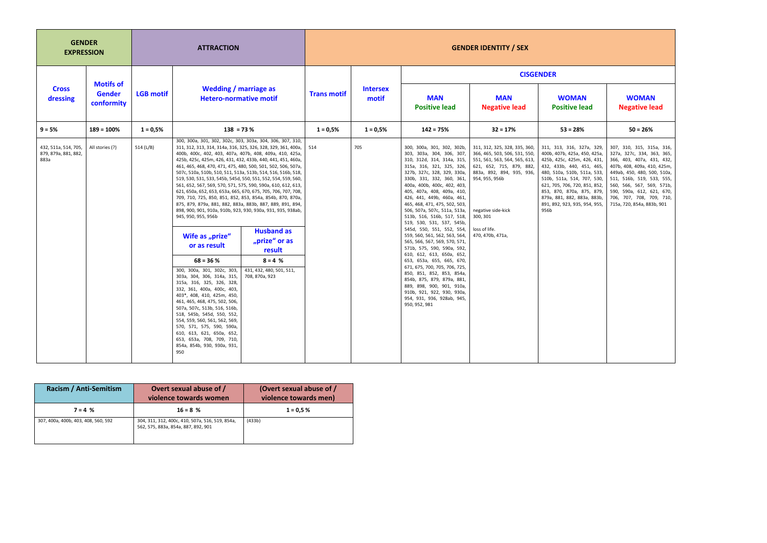| <b>GENDER</b><br><b>EXPRESSION</b>                   |                                                 | <b>ATTRACTION</b> |                                                                                                                                                                                                                                                                                                                                                                                                                                                                                                                                                                                                                                                                                                                                                                                                                                                                                                                                                                                                                                                                                                                                                                                                                                                                                                                                                                                      | <b>GENDER IDENTITY / SEX</b> |                          |                                                                                                                                                                                                                                                                                                                                                                                                                                                                                                                                                                                                                                                                                                                                                                                                    |                                                                                                                                                                                                                                                   |                                                                                                                                                                                                                                                                                                                          |                                                                                                                                                                                                                                                                                                     |
|------------------------------------------------------|-------------------------------------------------|-------------------|--------------------------------------------------------------------------------------------------------------------------------------------------------------------------------------------------------------------------------------------------------------------------------------------------------------------------------------------------------------------------------------------------------------------------------------------------------------------------------------------------------------------------------------------------------------------------------------------------------------------------------------------------------------------------------------------------------------------------------------------------------------------------------------------------------------------------------------------------------------------------------------------------------------------------------------------------------------------------------------------------------------------------------------------------------------------------------------------------------------------------------------------------------------------------------------------------------------------------------------------------------------------------------------------------------------------------------------------------------------------------------------|------------------------------|--------------------------|----------------------------------------------------------------------------------------------------------------------------------------------------------------------------------------------------------------------------------------------------------------------------------------------------------------------------------------------------------------------------------------------------------------------------------------------------------------------------------------------------------------------------------------------------------------------------------------------------------------------------------------------------------------------------------------------------------------------------------------------------------------------------------------------------|---------------------------------------------------------------------------------------------------------------------------------------------------------------------------------------------------------------------------------------------------|--------------------------------------------------------------------------------------------------------------------------------------------------------------------------------------------------------------------------------------------------------------------------------------------------------------------------|-----------------------------------------------------------------------------------------------------------------------------------------------------------------------------------------------------------------------------------------------------------------------------------------------------|
|                                                      |                                                 |                   |                                                                                                                                                                                                                                                                                                                                                                                                                                                                                                                                                                                                                                                                                                                                                                                                                                                                                                                                                                                                                                                                                                                                                                                                                                                                                                                                                                                      | <b>Trans motif</b>           |                          | <b>CISGENDER</b>                                                                                                                                                                                                                                                                                                                                                                                                                                                                                                                                                                                                                                                                                                                                                                                   |                                                                                                                                                                                                                                                   |                                                                                                                                                                                                                                                                                                                          |                                                                                                                                                                                                                                                                                                     |
| <b>Cross</b><br>dressing                             | <b>Motifs of</b><br><b>Gender</b><br>conformity | <b>LGB motif</b>  | <b>Wedding / marriage as</b><br><b>Hetero-normative motif</b>                                                                                                                                                                                                                                                                                                                                                                                                                                                                                                                                                                                                                                                                                                                                                                                                                                                                                                                                                                                                                                                                                                                                                                                                                                                                                                                        |                              | <b>Intersex</b><br>motif | <b>MAN</b><br><b>Positive lead</b>                                                                                                                                                                                                                                                                                                                                                                                                                                                                                                                                                                                                                                                                                                                                                                 | <b>MAN</b><br><b>Negative lead</b>                                                                                                                                                                                                                | <b>WOMAN</b><br><b>Positive lead</b>                                                                                                                                                                                                                                                                                     | <b>WOMAN</b><br><b>Negative lead</b>                                                                                                                                                                                                                                                                |
| $9 = 5%$                                             | $189 = 100%$                                    | $1 = 0,5%$        | $138 = 73%$                                                                                                                                                                                                                                                                                                                                                                                                                                                                                                                                                                                                                                                                                                                                                                                                                                                                                                                                                                                                                                                                                                                                                                                                                                                                                                                                                                          | $1 = 0,5%$                   | $1 = 0.5%$               | $142 = 75%$                                                                                                                                                                                                                                                                                                                                                                                                                                                                                                                                                                                                                                                                                                                                                                                        | $32 = 17%$                                                                                                                                                                                                                                        | $53 = 28%$                                                                                                                                                                                                                                                                                                               | $50 = 26%$                                                                                                                                                                                                                                                                                          |
| 432, 511a, 514, 705,<br>879, 879a, 881, 882,<br>883a | All stories (?)                                 | 514 (L/B)         | 300, 300a, 301, 302, 302c, 303, 303a, 304, 306, 307, 310,<br>311, 312, 313, 314, 314a, 316, 325, 326, 328, 329, 361, 400a,<br>400b, 400c, 402, 403, 407a, 407b, 408, 409a, 410, 425a,<br>425b, 425c, 425m, 426, 431, 432, 433b, 440, 441, 451, 460a,<br>461, 465, 468, 470, 471, 475, 480, 500, 501, 502, 506, 507a,<br>507c, 510a, 510b, 510, 511, 513a, 513b, 514, 516, 516b, 518,<br>519, 530, 531, 533, 545b, 545d, 550, 551, 552, 554, 559, 560,<br>561, 652, 567, 569, 570, 571, 575, 590, 590a, 610, 612, 613,<br>621, 650a, 652, 653, 653a, 665, 670, 675, 705, 706, 707, 708,<br>709, 710, 725, 850, 851, 852, 853, 854a, 854b, 870, 870a,<br>875, 879, 879a, 881, 882, 883a, 883b, 887, 889, 891, 894,<br>898, 900, 901, 910a, 910b, 923, 930, 930a, 931, 935, 938ab,<br>945, 950, 955, 956b<br><b>Husband as</b><br>Wife as "prize"<br>"prize" or as<br>or as result<br>result<br>$68 = 36 %$<br>$8 = 4%$<br>300, 300a, 301, 302c, 303,<br>431, 432, 480, 501, 511,<br>303a, 304, 306, 314a, 315,<br>708, 870a, 923<br>315a, 316, 325, 326, 328,<br>332, 361, 400a, 400c, 403,<br>403*, 408, 410, 425m, 450,<br>461, 465, 468, 475, 502, 506,<br>507a, 507c, 513b, 516, 516b,<br>518, 545b, 545d, 550, 552,<br>554, 559, 560, 561, 562, 569,<br>570, 571, 575, 590, 590a,<br>610, 613, 621, 650a, 652,<br>653, 653a, 708, 709, 710,<br>854a, 854b, 930, 930a, 931,<br>950 | 514                          | 705                      | 300, 300a, 301, 302, 302b,<br>303, 303a, 304, 306, 307,<br>310, 312d, 314, 314a, 315,<br>315a, 316, 321, 325, 326,<br>327b, 327c, 328, 329, 330a,<br>330b, 331, 332, 360, 361,<br>400a, 400b, 400c, 402, 403,<br>405, 407a, 408, 409a, 410,<br>426, 441, 449b, 460a, 461,<br>465, 468, 471, 475, 502, 503,<br>506, 507a, 507c, 511a, 513a,<br>513b, 516, 516b, 517, 518,<br>519, 530, 531, 537, 545b,<br>545d, 550, 551, 552, 554,<br>559, 560, 561, 562, 563, 564,<br>565, 566, 567, 569, 570, 571,<br>571b, 575, 590, 590a, 592,<br>610, 612, 613, 650a, 652,<br>653, 653a, 655, 665, 670,<br>671, 675, 700, 705, 706, 725,<br>850, 851, 852, 853, 854a,<br>854b, 875, 879, 879a, 881,<br>889, 898, 900, 901, 910a,<br>910b, 921, 922, 930, 930a,<br>954, 931, 936, 928ab, 945,<br>950, 952, 981 | 311, 312, 325, 328, 335, 360,<br>366, 465, 503, 506, 531, 550,<br>551, 561, 563, 564, 565, 613,<br>621, 652, 715, 879, 882,<br>883a, 892, 894, 935, 936,<br>954, 955, 956b<br>negative side-kick<br>300, 301<br>loss of life.<br>470, 470b, 471a, | 311, 313, 316, 327a, 329,<br>400b, 407b, 425a, 450, 425a,<br>425b, 425c, 425m, 426, 431,<br>432, 433b, 440, 451, 465,<br>480, 510a, 510b, 511a, 533,<br>510b, 511a, 514, 707, 530,<br>621, 705, 706, 720, 851, 852,<br>853, 870, 870a, 875, 879,<br>879a, 881, 882, 883a, 883b,<br>891, 892, 923, 935, 954, 955,<br>956b | 307, 310, 315, 315a, 316,<br>327a, 327c, 334, 363, 365,<br>366, 403, 407a, 431, 432,<br>407b, 408, 409a, 410, 425m,<br>449ab, 450, 480, 500, 510a,<br>511, 516b, 519, 533, 555,<br>560, 566, 567, 569, 571b,<br>590, 590a, 612, 621, 670,<br>706, 707, 708, 709, 710,<br>715a, 720, 854a, 883b, 901 |

| Racism / Anti-Semitism              | Overt sexual abuse of /<br>violence towards women                                      | (Overt sexual abuse of /<br>violence towards men) |  |  |
|-------------------------------------|----------------------------------------------------------------------------------------|---------------------------------------------------|--|--|
| $7 = 4%$                            | $16 = 8%$                                                                              | $1 = 0.5 %$                                       |  |  |
| 307, 400a, 400b, 403, 408, 560, 592 | 304, 311, 312, 400c, 410, 507a, 516, 519, 854a,<br>562, 575, 883a, 854a, 887, 892, 901 | (433b)                                            |  |  |